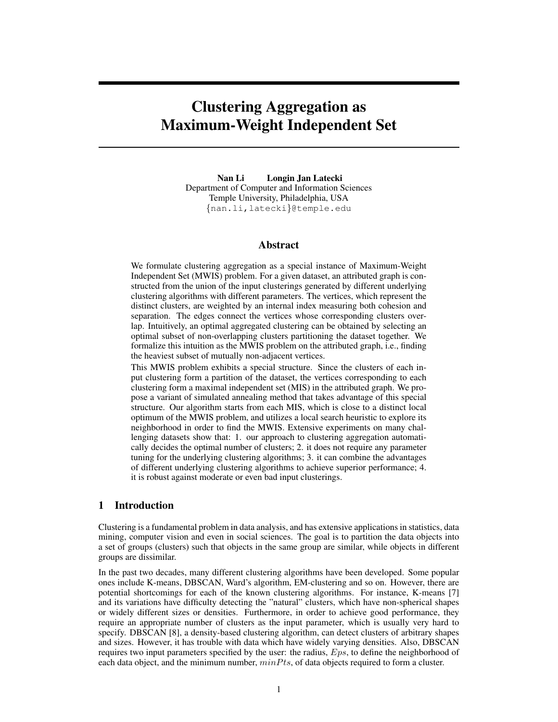# Clustering Aggregation as Maximum-Weight Independent Set

Nan Li Longin Jan Latecki Department of Computer and Information Sciences Temple University, Philadelphia, USA {nan.li,latecki}@temple.edu

#### Abstract

We formulate clustering aggregation as a special instance of Maximum-Weight Independent Set (MWIS) problem. For a given dataset, an attributed graph is constructed from the union of the input clusterings generated by different underlying clustering algorithms with different parameters. The vertices, which represent the distinct clusters, are weighted by an internal index measuring both cohesion and separation. The edges connect the vertices whose corresponding clusters overlap. Intuitively, an optimal aggregated clustering can be obtained by selecting an optimal subset of non-overlapping clusters partitioning the dataset together. We formalize this intuition as the MWIS problem on the attributed graph, i.e., finding the heaviest subset of mutually non-adjacent vertices.

This MWIS problem exhibits a special structure. Since the clusters of each input clustering form a partition of the dataset, the vertices corresponding to each clustering form a maximal independent set (MIS) in the attributed graph. We propose a variant of simulated annealing method that takes advantage of this special structure. Our algorithm starts from each MIS, which is close to a distinct local optimum of the MWIS problem, and utilizes a local search heuristic to explore its neighborhood in order to find the MWIS. Extensive experiments on many challenging datasets show that: 1. our approach to clustering aggregation automatically decides the optimal number of clusters; 2. it does not require any parameter tuning for the underlying clustering algorithms; 3. it can combine the advantages of different underlying clustering algorithms to achieve superior performance; 4. it is robust against moderate or even bad input clusterings.

## 1 Introduction

Clustering is a fundamental problem in data analysis, and has extensive applications in statistics, data mining, computer vision and even in social sciences. The goal is to partition the data objects into a set of groups (clusters) such that objects in the same group are similar, while objects in different groups are dissimilar.

In the past two decades, many different clustering algorithms have been developed. Some popular ones include K-means, DBSCAN, Ward's algorithm, EM-clustering and so on. However, there are potential shortcomings for each of the known clustering algorithms. For instance, K-means [7] and its variations have difficulty detecting the "natural" clusters, which have non-spherical shapes or widely different sizes or densities. Furthermore, in order to achieve good performance, they require an appropriate number of clusters as the input parameter, which is usually very hard to specify. DBSCAN [8], a density-based clustering algorithm, can detect clusters of arbitrary shapes and sizes. However, it has trouble with data which have widely varying densities. Also, DBSCAN requires two input parameters specified by the user: the radius, Eps, to define the neighborhood of each data object, and the minimum number,  $minPts$ , of data objects required to form a cluster.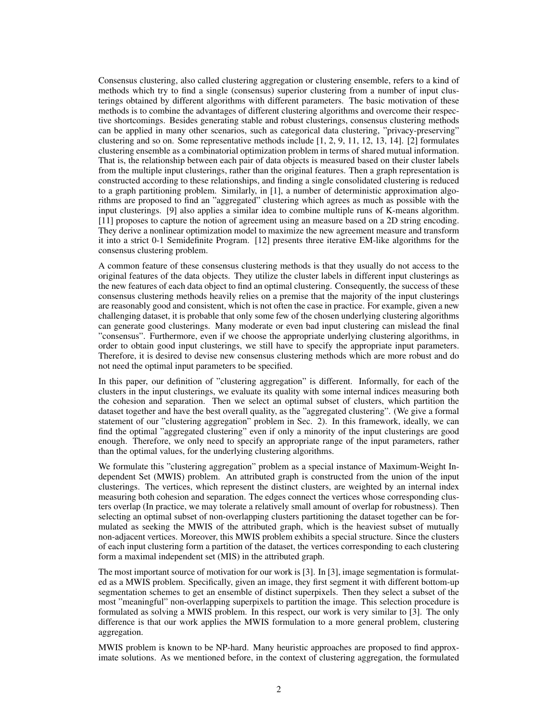Consensus clustering, also called clustering aggregation or clustering ensemble, refers to a kind of methods which try to find a single (consensus) superior clustering from a number of input clusterings obtained by different algorithms with different parameters. The basic motivation of these methods is to combine the advantages of different clustering algorithms and overcome their respective shortcomings. Besides generating stable and robust clusterings, consensus clustering methods can be applied in many other scenarios, such as categorical data clustering, "privacy-preserving" clustering and so on. Some representative methods include [1, 2, 9, 11, 12, 13, 14]. [2] formulates clustering ensemble as a combinatorial optimization problem in terms of shared mutual information. That is, the relationship between each pair of data objects is measured based on their cluster labels from the multiple input clusterings, rather than the original features. Then a graph representation is constructed according to these relationships, and finding a single consolidated clustering is reduced to a graph partitioning problem. Similarly, in [1], a number of deterministic approximation algorithms are proposed to find an "aggregated" clustering which agrees as much as possible with the input clusterings. [9] also applies a similar idea to combine multiple runs of K-means algorithm. [11] proposes to capture the notion of agreement using an measure based on a 2D string encoding. They derive a nonlinear optimization model to maximize the new agreement measure and transform it into a strict 0-1 Semidefinite Program. [12] presents three iterative EM-like algorithms for the consensus clustering problem.

A common feature of these consensus clustering methods is that they usually do not access to the original features of the data objects. They utilize the cluster labels in different input clusterings as the new features of each data object to find an optimal clustering. Consequently, the success of these consensus clustering methods heavily relies on a premise that the majority of the input clusterings are reasonably good and consistent, which is not often the case in practice. For example, given a new challenging dataset, it is probable that only some few of the chosen underlying clustering algorithms can generate good clusterings. Many moderate or even bad input clustering can mislead the final "consensus". Furthermore, even if we choose the appropriate underlying clustering algorithms, in order to obtain good input clusterings, we still have to specify the appropriate input parameters. Therefore, it is desired to devise new consensus clustering methods which are more robust and do not need the optimal input parameters to be specified.

In this paper, our definition of "clustering aggregation" is different. Informally, for each of the clusters in the input clusterings, we evaluate its quality with some internal indices measuring both the cohesion and separation. Then we select an optimal subset of clusters, which partition the dataset together and have the best overall quality, as the "aggregated clustering". (We give a formal statement of our "clustering aggregation" problem in Sec. 2). In this framework, ideally, we can find the optimal "aggregated clustering" even if only a minority of the input clusterings are good enough. Therefore, we only need to specify an appropriate range of the input parameters, rather than the optimal values, for the underlying clustering algorithms.

We formulate this "clustering aggregation" problem as a special instance of Maximum-Weight Independent Set (MWIS) problem. An attributed graph is constructed from the union of the input clusterings. The vertices, which represent the distinct clusters, are weighted by an internal index measuring both cohesion and separation. The edges connect the vertices whose corresponding clusters overlap (In practice, we may tolerate a relatively small amount of overlap for robustness). Then selecting an optimal subset of non-overlapping clusters partitioning the dataset together can be formulated as seeking the MWIS of the attributed graph, which is the heaviest subset of mutually non-adjacent vertices. Moreover, this MWIS problem exhibits a special structure. Since the clusters of each input clustering form a partition of the dataset, the vertices corresponding to each clustering form a maximal independent set (MIS) in the attributed graph.

The most important source of motivation for our work is [3]. In [3], image segmentation is formulated as a MWIS problem. Specifically, given an image, they first segment it with different bottom-up segmentation schemes to get an ensemble of distinct superpixels. Then they select a subset of the most "meaningful" non-overlapping superpixels to partition the image. This selection procedure is formulated as solving a MWIS problem. In this respect, our work is very similar to [3]. The only difference is that our work applies the MWIS formulation to a more general problem, clustering aggregation.

MWIS problem is known to be NP-hard. Many heuristic approaches are proposed to find approximate solutions. As we mentioned before, in the context of clustering aggregation, the formulated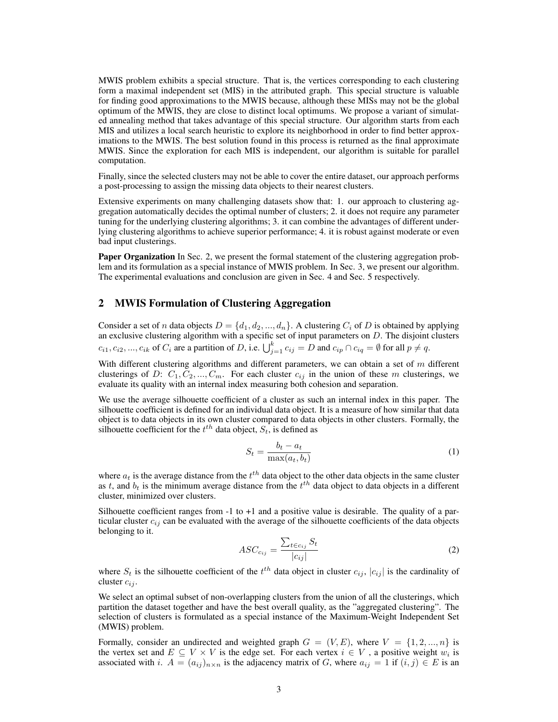MWIS problem exhibits a special structure. That is, the vertices corresponding to each clustering form a maximal independent set (MIS) in the attributed graph. This special structure is valuable for finding good approximations to the MWIS because, although these MISs may not be the global optimum of the MWIS, they are close to distinct local optimums. We propose a variant of simulated annealing method that takes advantage of this special structure. Our algorithm starts from each MIS and utilizes a local search heuristic to explore its neighborhood in order to find better approximations to the MWIS. The best solution found in this process is returned as the final approximate MWIS. Since the exploration for each MIS is independent, our algorithm is suitable for parallel computation.

Finally, since the selected clusters may not be able to cover the entire dataset, our approach performs a post-processing to assign the missing data objects to their nearest clusters.

Extensive experiments on many challenging datasets show that: 1. our approach to clustering aggregation automatically decides the optimal number of clusters; 2. it does not require any parameter tuning for the underlying clustering algorithms; 3. it can combine the advantages of different underlying clustering algorithms to achieve superior performance; 4. it is robust against moderate or even bad input clusterings.

**Paper Organization** In Sec. 2, we present the formal statement of the clustering aggregation problem and its formulation as a special instance of MWIS problem. In Sec. 3, we present our algorithm. The experimental evaluations and conclusion are given in Sec. 4 and Sec. 5 respectively.

## 2 MWIS Formulation of Clustering Aggregation

Consider a set of n data objects  $D = \{d_1, d_2, ..., d_n\}$ . A clustering  $C_i$  of D is obtained by applying an exclusive clustering algorithm with a specific set of input parameters on  $D$ . The disjoint clusters  $c_{i1}, c_{i2}, ..., c_{ik}$  of  $C_i$  are a partition of D, i.e.  $\bigcup_{j=1}^k c_{ij} = D$  and  $c_{ip} \cap c_{iq} = \emptyset$  for all  $p \neq q$ .

With different clustering algorithms and different parameters, we can obtain a set of  $m$  different clusterings of D:  $C_1, C_2, ..., C_m$ . For each cluster  $c_{ij}$  in the union of these m clusterings, we evaluate its quality with an internal index measuring both cohesion and separation.

We use the average silhouette coefficient of a cluster as such an internal index in this paper. The silhouette coefficient is defined for an individual data object. It is a measure of how similar that data object is to data objects in its own cluster compared to data objects in other clusters. Formally, the silhouette coefficient for the  $t^{th}$  data object,  $S_t$ , is defined as

$$
S_t = \frac{b_t - a_t}{\max(a_t, b_t)}\tag{1}
$$

where  $a_t$  is the average distance from the  $t^{th}$  data object to the other data objects in the same cluster as t, and  $b_t$  is the minimum average distance from the  $t^{th}$  data object to data objects in a different cluster, minimized over clusters.

Silhouette coefficient ranges from -1 to +1 and a positive value is desirable. The quality of a particular cluster  $c_{ij}$  can be evaluated with the average of the silhouette coefficients of the data objects belonging to it.

$$
ASC_{c_{ij}} = \frac{\sum_{t \in c_{ij}} S_t}{|c_{ij}|}
$$
 (2)

where  $S_t$  is the silhouette coefficient of the  $t^{th}$  data object in cluster  $c_{ij}$ ,  $|c_{ij}|$  is the cardinality of cluster  $c_{ij}$ .

We select an optimal subset of non-overlapping clusters from the union of all the clusterings, which partition the dataset together and have the best overall quality, as the "aggregated clustering". The selection of clusters is formulated as a special instance of the Maximum-Weight Independent Set (MWIS) problem.

Formally, consider an undirected and weighted graph  $G = (V, E)$ , where  $V = \{1, 2, ..., n\}$  is the vertex set and  $E \subseteq V \times V$  is the edge set. For each vertex  $i \in V$ , a positive weight  $w_i$  is associated with i.  $A = (a_{ij})_{n \times n}$  is the adjacency matrix of G, where  $a_{ij} = 1$  if  $(i, j) \in E$  is an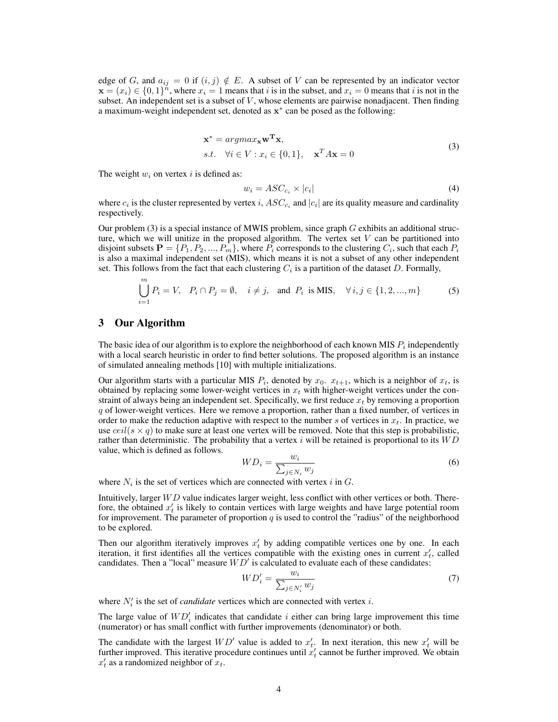edge of G, and  $a_{ij} = 0$  if  $(i, j) \notin E$ . A subset of V can be represented by an indicator vector  $\mathbf{x} = (x_i) \in \{0, 1\}^n$ , where  $x_i = 1$  means that i is in the subset, and  $x_i = 0$  means that i is not in the subset. An independent set is a subset of  $V$ , whose elements are pairwise nonadjacent. Then finding a maximum-weight independent set, denoted as  $x^*$  can be posed as the following:

$$
\mathbf{x}^* = argmax_{\mathbf{x}} \mathbf{w}^{\mathbf{T}} \mathbf{x},
$$
  
s.t.  $\forall i \in V : x_i \in \{0, 1\}, \quad \mathbf{x}^T A \mathbf{x} = 0$  (3)

The weight  $w_i$  on vertex i is defined as:

$$
w_i = ASC_{c_i} \times |c_i| \tag{4}
$$

where  $c_i$  is the cluster represented by vertex  $i$ ,  $ASC_{c_i}$  and  $|c_i|$  are its quality measure and cardinality respectively.

Our problem  $(3)$  is a special instance of MWIS problem, since graph G exhibits an additional structure, which we will unitize in the proposed algorithm. The vertex set  $V$  can be partitioned into disjoint subsets  $\mathbf{P} = \{P_1, P_2, ..., P_m\}$ , where  $P_i$  corresponds to the clustering  $C_i$ , such that each  $P_i$ is also a maximal independent set (MIS), which means it is not a subset of any other independent set. This follows from the fact that each clustering  $C_i$  is a partition of the dataset D. Formally,

$$
\bigcup_{i=1}^{m} P_i = V, \quad P_i \cap P_j = \emptyset, \quad i \neq j, \quad \text{and } P_i \text{ is MIS}, \quad \forall i, j \in \{1, 2, ..., m\}
$$
 (5)

### 3 Our Algorithm

The basic idea of our algorithm is to explore the neighborhood of each known MIS  $P_i$  independently with a local search heuristic in order to find better solutions. The proposed algorithm is an instance of simulated annealing methods [10] with multiple initializations.

Our algorithm starts with a particular MIS  $P_i$ , denoted by  $x_0$ .  $x_{t+1}$ , which is a neighbor of  $x_t$ , is obtained by replacing some lower-weight vertices in  $x_t$  with higher-weight vertices under the constraint of always being an independent set. Specifically, we first reduce  $x_t$  by removing a proportion  $q$  of lower-weight vertices. Here we remove a proportion, rather than a fixed number, of vertices in order to make the reduction adaptive with respect to the number s of vertices in  $x_t$ . In practice, we use  $ceil(s \times q)$  to make sure at least one vertex will be removed. Note that this step is probabilistic, rather than deterministic. The probability that a vertex  $i$  will be retained is proportional to its  $WD$ value, which is defined as follows.

$$
WD_i = \frac{w_i}{\sum_{j \in N_i} w_j} \tag{6}
$$

where  $N_i$  is the set of vertices which are connected with vertex i in G.

Intuitively, larger  $WD$  value indicates larger weight, less conflict with other vertices or both. Therefore, the obtained  $x_t$  is likely to contain vertices with large weights and have large potential room for improvement. The parameter of proportion  $q$  is used to control the "radius" of the neighborhood to be explored.

Then our algorithm iteratively improves  $x_t$  by adding compatible vertices one by one. In each iteration, it first identifies all the vertices compatible with the existing ones in current  $x'_t$ , called candidates. Then a "local" measure  $WD'$  is calculated to evaluate each of these candidates:

$$
WD_i' = \frac{w_i}{\sum_{j \in N_i'} w_j} \tag{7}
$$

where  $N_i'$  is the set of *candidate* vertices which are connected with vertex i.

The large value of  $WD'_i$  indicates that candidate i either can bring large improvement this time (numerator) or has small conflict with further improvements (denominator) or both.

The candidate with the largest  $WD'$  value is added to  $x'_t$ . In next iteration, this new  $x'_t$  will be further improved. This iterative procedure continues until  $x_t$  cannot be further improved. We obtain  $x_t'$  as a randomized neighbor of  $x_t$ .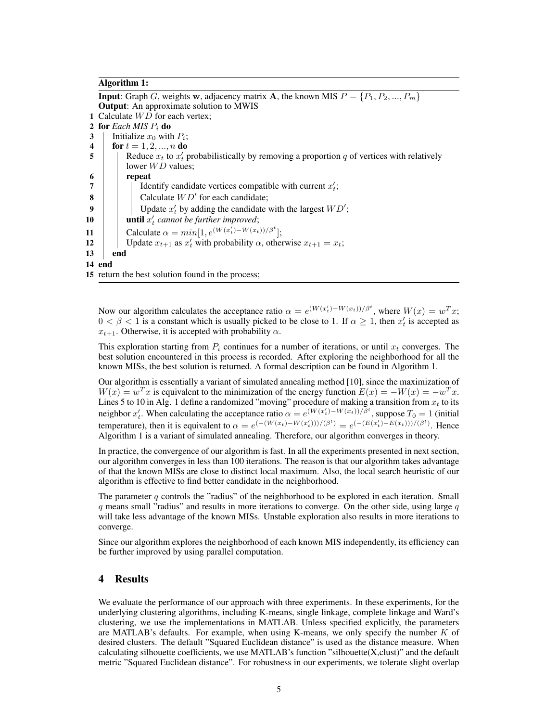#### Algorithm 1:

**Input:** Graph G, weights w, adjacency matrix A, the known MIS  $P = \{P_1, P_2, ..., P_m\}$ Output: An approximate solution to MWIS 1 Calculate  $WD$  for each vertex; 2 for *Each MIS* P<sup>i</sup> do 3 | Initialize  $x_0$  with  $P_i$ ; 4  $\int$  for  $t = 1, 2, ..., n$  do 5 | Reduce  $x_t$  to  $x'_t$  probabilistically by removing a proportion q of vertices with relatively lower  $WD$  values;  $6$  | | repeat 7 |  $\int$  Identify candidate vertices compatible with current  $x'_i$ ; 8  $\parallel$   $\parallel$  Calculate  $WD'$  for each candidate; 9 | Update  $x'_t$  by adding the candidate with the largest  $WD'$ ; **10 c c until**  $x'_t$  cannot be further improved; 11 Calculate  $\alpha = min[1, e^{(W(x_t') - W(x_t))/\beta^t}];$ 12 | Update  $x_{t+1}$  as  $x'_t$  with probability  $\alpha$ , otherwise  $x_{t+1} = x_t$ ; 13 end 14 end 15 return the best solution found in the process;

Now our algorithm calculates the acceptance ratio  $\alpha = e^{(W(x_t') - W(x_t))/\beta^t}$ , where  $W(x) = w^T x$ ;  $0 < \beta < 1$  is a constant which is usually picked to be close to 1. If  $\alpha \ge 1$ , then  $x'_t$  is accepted as  $x_{t+1}$ . Otherwise, it is accepted with probability  $\alpha$ .

This exploration starting from  $P_i$  continues for a number of iterations, or until  $x_t$  converges. The best solution encountered in this process is recorded. After exploring the neighborhood for all the known MISs, the best solution is returned. A formal description can be found in Algorithm 1.

Our algorithm is essentially a variant of simulated annealing method [10], since the maximization of  $W(x) = w<sup>T</sup> x$  is equivalent to the minimization of the energy function  $E(x) = -W(x) = -w<sup>T</sup> x$ . Lines 5 to 10 in Alg. 1 define a randomized "moving" procedure of making a transition from  $x_t$  to its neighbor  $x'_t$ . When calculating the acceptance ratio  $\alpha = e^{(W(x'_t) - W(x_t))/\beta^t}$ , suppose  $T_0 = 1$  (initial temperature), then it is equivalent to  $\alpha = e^{(-(W(x_t)-W(x'_t)))/(\beta^t)} = e^{(-(E(x'_t)-E(x_t)))/(\beta^t)}$ . Hence Algorithm 1 is a variant of simulated annealing. Therefore, our algorithm converges in theory.

In practice, the convergence of our algorithm is fast. In all the experiments presented in next section, our algorithm converges in less than 100 iterations. The reason is that our algorithm takes advantage of that the known MISs are close to distinct local maximum. Also, the local search heuristic of our algorithm is effective to find better candidate in the neighborhood.

The parameter  $q$  controls the "radius" of the neighborhood to be explored in each iteration. Small  $q$  means small "radius" and results in more iterations to converge. On the other side, using large  $q$ will take less advantage of the known MISs. Unstable exploration also results in more iterations to converge.

Since our algorithm explores the neighborhood of each known MIS independently, its efficiency can be further improved by using parallel computation.

## 4 Results

We evaluate the performance of our approach with three experiments. In these experiments, for the underlying clustering algorithms, including K-means, single linkage, complete linkage and Ward's clustering, we use the implementations in MATLAB. Unless specified explicitly, the parameters are MATLAB's defaults. For example, when using K-means, we only specify the number  $K$  of desired clusters. The default "Squared Euclidean distance" is used as the distance measure. When calculating silhouette coefficients, we use MATLAB's function "silhouette $(X, clust)$ " and the default metric "Squared Euclidean distance". For robustness in our experiments, we tolerate slight overlap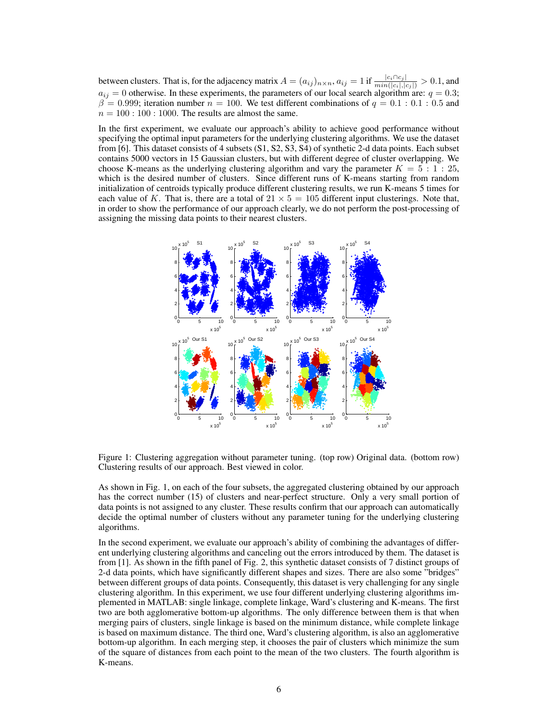between clusters. That is, for the adjacency matrix  $A = (a_{ij})_{n \times n}$ ,  $a_{ij} = 1$  if  $\frac{|c_i \cap c_j|}{min(|c_i|, |c_j|)} > 0.1$ , and  $a_{ij} = 0$  otherwise. In these experiments, the parameters of our local search algorithm are:  $q = 0.3$ ;  $\beta = 0.999$ ; iteration number  $n = 100$ . We test different combinations of  $q = 0.1 : 0.1 : 0.5$  and  $n = 100 : 100 : 1000$ . The results are almost the same.

In the first experiment, we evaluate our approach's ability to achieve good performance without specifying the optimal input parameters for the underlying clustering algorithms. We use the dataset from [6]. This dataset consists of 4 subsets (S1, S2, S3, S4) of synthetic 2-d data points. Each subset contains 5000 vectors in 15 Gaussian clusters, but with different degree of cluster overlapping. We choose K-means as the underlying clustering algorithm and vary the parameter  $K = 5 : 1 : 25$ , which is the desired number of clusters. Since different runs of K-means starting from random initialization of centroids typically produce different clustering results, we run K-means 5 times for each value of K. That is, there are a total of  $21 \times 5 = 105$  different input clusterings. Note that, in order to show the performance of our approach clearly, we do not perform the post-processing of assigning the missing data points to their nearest clusters.



Figure 1: Clustering aggregation without parameter tuning. (top row) Original data. (bottom row) Clustering results of our approach. Best viewed in color.

As shown in Fig. 1, on each of the four subsets, the aggregated clustering obtained by our approach has the correct number (15) of clusters and near-perfect structure. Only a very small portion of data points is not assigned to any cluster. These results confirm that our approach can automatically decide the optimal number of clusters without any parameter tuning for the underlying clustering algorithms.

In the second experiment, we evaluate our approach's ability of combining the advantages of different underlying clustering algorithms and canceling out the errors introduced by them. The dataset is from [1]. As shown in the fifth panel of Fig. 2, this synthetic dataset consists of 7 distinct groups of 2-d data points, which have significantly different shapes and sizes. There are also some "bridges" between different groups of data points. Consequently, this dataset is very challenging for any single clustering algorithm. In this experiment, we use four different underlying clustering algorithms implemented in MATLAB: single linkage, complete linkage, Ward's clustering and K-means. The first two are both agglomerative bottom-up algorithms. The only difference between them is that when merging pairs of clusters, single linkage is based on the minimum distance, while complete linkage is based on maximum distance. The third one, Ward's clustering algorithm, is also an agglomerative bottom-up algorithm. In each merging step, it chooses the pair of clusters which minimize the sum of the square of distances from each point to the mean of the two clusters. The fourth algorithm is K-means.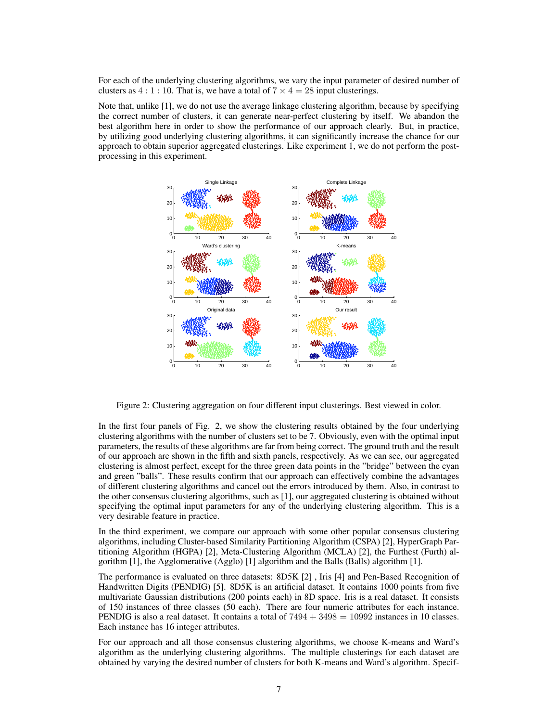For each of the underlying clustering algorithms, we vary the input parameter of desired number of clusters as  $4:1:10$ . That is, we have a total of  $7 \times 4 = 28$  input clusterings.

Note that, unlike [1], we do not use the average linkage clustering algorithm, because by specifying the correct number of clusters, it can generate near-perfect clustering by itself. We abandon the best algorithm here in order to show the performance of our approach clearly. But, in practice, by utilizing good underlying clustering algorithms, it can significantly increase the chance for our approach to obtain superior aggregated clusterings. Like experiment 1, we do not perform the postprocessing in this experiment.



Figure 2: Clustering aggregation on four different input clusterings. Best viewed in color.

In the first four panels of Fig. 2, we show the clustering results obtained by the four underlying clustering algorithms with the number of clusters set to be 7. Obviously, even with the optimal input parameters, the results of these algorithms are far from being correct. The ground truth and the result of our approach are shown in the fifth and sixth panels, respectively. As we can see, our aggregated clustering is almost perfect, except for the three green data points in the "bridge" between the cyan and green "balls". These results confirm that our approach can effectively combine the advantages of different clustering algorithms and cancel out the errors introduced by them. Also, in contrast to the other consensus clustering algorithms, such as [1], our aggregated clustering is obtained without specifying the optimal input parameters for any of the underlying clustering algorithm. This is a very desirable feature in practice.

In the third experiment, we compare our approach with some other popular consensus clustering algorithms, including Cluster-based Similarity Partitioning Algorithm (CSPA) [2], HyperGraph Partitioning Algorithm (HGPA) [2], Meta-Clustering Algorithm (MCLA) [2], the Furthest (Furth) algorithm [1], the Agglomerative (Agglo) [1] algorithm and the Balls (Balls) algorithm [1].

The performance is evaluated on three datasets: 8D5K [2] , Iris [4] and Pen-Based Recognition of Handwritten Digits (PENDIG) [5]. 8D5K is an artificial dataset. It contains 1000 points from five multivariate Gaussian distributions (200 points each) in 8D space. Iris is a real dataset. It consists of 150 instances of three classes (50 each). There are four numeric attributes for each instance. PENDIG is also a real dataset. It contains a total of  $7494 + 3498 = 10992$  instances in 10 classes. Each instance has 16 integer attributes.

For our approach and all those consensus clustering algorithms, we choose K-means and Ward's algorithm as the underlying clustering algorithms. The multiple clusterings for each dataset are obtained by varying the desired number of clusters for both K-means and Ward's algorithm. Specif-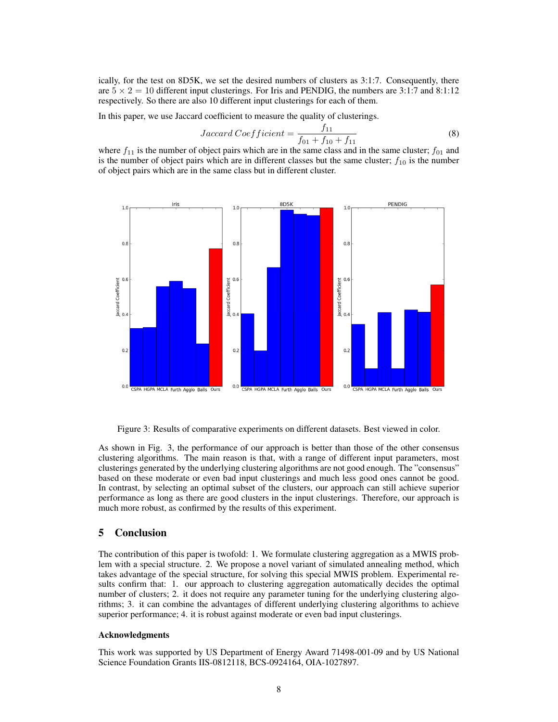ically, for the test on 8D5K, we set the desired numbers of clusters as 3:1:7. Consequently, there are  $5 \times 2 = 10$  different input clusterings. For Iris and PENDIG, the numbers are 3:1:7 and 8:1:12 respectively. So there are also 10 different input clusterings for each of them.

In this paper, we use Jaccard coefficient to measure the quality of clusterings.

$$
Jaccard Coefficient = \frac{f_{11}}{f_{01} + f_{10} + f_{11}}
$$
\n(8)

where  $f_{11}$  is the number of object pairs which are in the same class and in the same cluster;  $f_{01}$  and is the number of object pairs which are in different classes but the same cluster;  $f_{10}$  is the number of object pairs which are in the same class but in different cluster.



Figure 3: Results of comparative experiments on different datasets. Best viewed in color.

As shown in Fig. 3, the performance of our approach is better than those of the other consensus clustering algorithms. The main reason is that, with a range of different input parameters, most clusterings generated by the underlying clustering algorithms are not good enough. The "consensus" based on these moderate or even bad input clusterings and much less good ones cannot be good. In contrast, by selecting an optimal subset of the clusters, our approach can still achieve superior performance as long as there are good clusters in the input clusterings. Therefore, our approach is much more robust, as confirmed by the results of this experiment.

#### 5 Conclusion

The contribution of this paper is twofold: 1. We formulate clustering aggregation as a MWIS problem with a special structure. 2. We propose a novel variant of simulated annealing method, which takes advantage of the special structure, for solving this special MWIS problem. Experimental results confirm that: 1. our approach to clustering aggregation automatically decides the optimal number of clusters; 2. it does not require any parameter tuning for the underlying clustering algorithms; 3. it can combine the advantages of different underlying clustering algorithms to achieve superior performance; 4. it is robust against moderate or even bad input clusterings.

#### Acknowledgments

This work was supported by US Department of Energy Award 71498-001-09 and by US National Science Foundation Grants IIS-0812118, BCS-0924164, OIA-1027897.